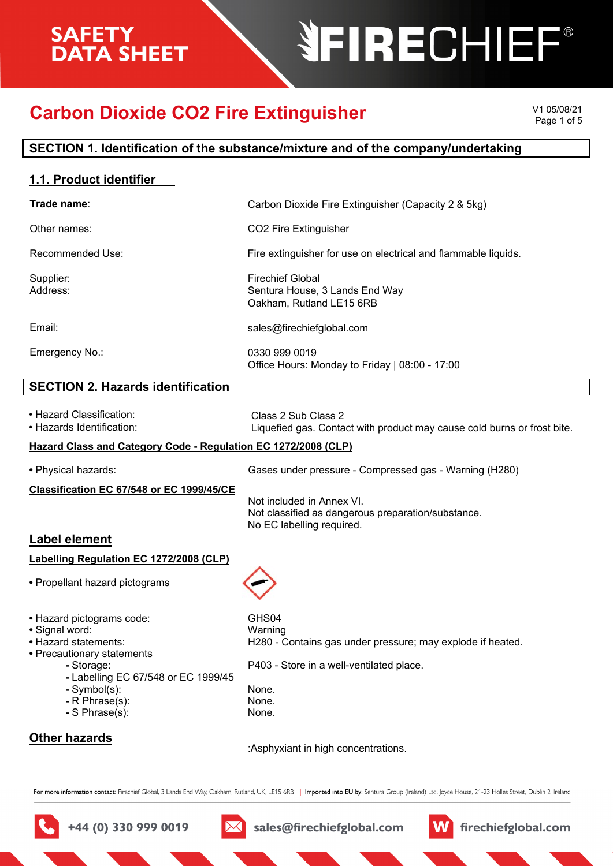## **Carbon Dioxide CO2 Fire Extinguisher** Page 1 of 5 Page 1 of 5

### **SECTION 1. Identification of the substance/mixture and of the company/undertaking**

### **1.1. Product identifier**

| CO2 Fire Extinguisher<br>Other names:<br>Recommended Use:<br>Fire extinguisher for use on electrical and flammable liquids.<br><b>Firechief Global</b><br>Supplier:<br>Address:<br>Sentura House, 3 Lands End Way<br>Oakham, Rutland LE15 6RB<br>Email:<br>sales@firechiefglobal.com<br>Emergency No.:<br>0330 999 0019<br>Office Hours: Monday to Friday   08:00 - 17:00<br><b>SECTION 2. Hazards identification</b><br>• Hazard Classification:<br>Class 2 Sub Class 2<br>• Hazards Identification:<br>Liquefied gas. Contact with product may cause cold burns or frost bite.<br>Hazard Class and Category Code - Regulation EC 1272/2008 (CLP)<br>• Physical hazards:<br>Gases under pressure - Compressed gas - Warning (H280)<br>Classification EC 67/548 or EC 1999/45/CE<br>Not included in Annex VI.<br>Not classified as dangerous preparation/substance.<br>No EC labelling required.<br><b>Label element</b><br>Labelling Regulation EC 1272/2008 (CLP)<br>• Propellant hazard pictograms<br>GHS04<br>• Hazard pictograms code:<br>· Signal word:<br>Warning<br>• Hazard statements:<br>H280 - Contains gas under pressure; may explode if heated.<br>• Precautionary statements<br>- Storage:<br>P403 - Store in a well-ventilated place.<br>- Labelling EC 67/548 or EC 1999/45<br>- Symbol(s):<br>None.<br>- R Phrase(s):<br>None.<br>- S Phrase(s):<br>None. | Trade name:          | Carbon Dioxide Fire Extinguisher (Capacity 2 & 5kg) |
|------------------------------------------------------------------------------------------------------------------------------------------------------------------------------------------------------------------------------------------------------------------------------------------------------------------------------------------------------------------------------------------------------------------------------------------------------------------------------------------------------------------------------------------------------------------------------------------------------------------------------------------------------------------------------------------------------------------------------------------------------------------------------------------------------------------------------------------------------------------------------------------------------------------------------------------------------------------------------------------------------------------------------------------------------------------------------------------------------------------------------------------------------------------------------------------------------------------------------------------------------------------------------------------------------------------------------------------------------------------------------|----------------------|-----------------------------------------------------|
|                                                                                                                                                                                                                                                                                                                                                                                                                                                                                                                                                                                                                                                                                                                                                                                                                                                                                                                                                                                                                                                                                                                                                                                                                                                                                                                                                                              |                      |                                                     |
|                                                                                                                                                                                                                                                                                                                                                                                                                                                                                                                                                                                                                                                                                                                                                                                                                                                                                                                                                                                                                                                                                                                                                                                                                                                                                                                                                                              |                      |                                                     |
|                                                                                                                                                                                                                                                                                                                                                                                                                                                                                                                                                                                                                                                                                                                                                                                                                                                                                                                                                                                                                                                                                                                                                                                                                                                                                                                                                                              |                      |                                                     |
|                                                                                                                                                                                                                                                                                                                                                                                                                                                                                                                                                                                                                                                                                                                                                                                                                                                                                                                                                                                                                                                                                                                                                                                                                                                                                                                                                                              |                      |                                                     |
|                                                                                                                                                                                                                                                                                                                                                                                                                                                                                                                                                                                                                                                                                                                                                                                                                                                                                                                                                                                                                                                                                                                                                                                                                                                                                                                                                                              |                      |                                                     |
|                                                                                                                                                                                                                                                                                                                                                                                                                                                                                                                                                                                                                                                                                                                                                                                                                                                                                                                                                                                                                                                                                                                                                                                                                                                                                                                                                                              |                      |                                                     |
|                                                                                                                                                                                                                                                                                                                                                                                                                                                                                                                                                                                                                                                                                                                                                                                                                                                                                                                                                                                                                                                                                                                                                                                                                                                                                                                                                                              |                      |                                                     |
|                                                                                                                                                                                                                                                                                                                                                                                                                                                                                                                                                                                                                                                                                                                                                                                                                                                                                                                                                                                                                                                                                                                                                                                                                                                                                                                                                                              |                      |                                                     |
|                                                                                                                                                                                                                                                                                                                                                                                                                                                                                                                                                                                                                                                                                                                                                                                                                                                                                                                                                                                                                                                                                                                                                                                                                                                                                                                                                                              |                      |                                                     |
|                                                                                                                                                                                                                                                                                                                                                                                                                                                                                                                                                                                                                                                                                                                                                                                                                                                                                                                                                                                                                                                                                                                                                                                                                                                                                                                                                                              |                      |                                                     |
|                                                                                                                                                                                                                                                                                                                                                                                                                                                                                                                                                                                                                                                                                                                                                                                                                                                                                                                                                                                                                                                                                                                                                                                                                                                                                                                                                                              |                      |                                                     |
|                                                                                                                                                                                                                                                                                                                                                                                                                                                                                                                                                                                                                                                                                                                                                                                                                                                                                                                                                                                                                                                                                                                                                                                                                                                                                                                                                                              |                      |                                                     |
|                                                                                                                                                                                                                                                                                                                                                                                                                                                                                                                                                                                                                                                                                                                                                                                                                                                                                                                                                                                                                                                                                                                                                                                                                                                                                                                                                                              |                      |                                                     |
|                                                                                                                                                                                                                                                                                                                                                                                                                                                                                                                                                                                                                                                                                                                                                                                                                                                                                                                                                                                                                                                                                                                                                                                                                                                                                                                                                                              |                      |                                                     |
| : Asphyxiant in high concentrations.                                                                                                                                                                                                                                                                                                                                                                                                                                                                                                                                                                                                                                                                                                                                                                                                                                                                                                                                                                                                                                                                                                                                                                                                                                                                                                                                         | <b>Other hazards</b> |                                                     |

For more information contact: Firechief Global, 3 Lands End Way, Oakham, Rutland, UK, LE15 6RB | Imported into EU by: Sentura Group (Ireland) Ltd, Joyce House, 21-23 Holles Street, Dublin 2, Ireland

+44 (0) 330 999 0019

sales@firechiefglobal.com



:Asphyxiant in high concentrations.

**JEIRECHIEF®**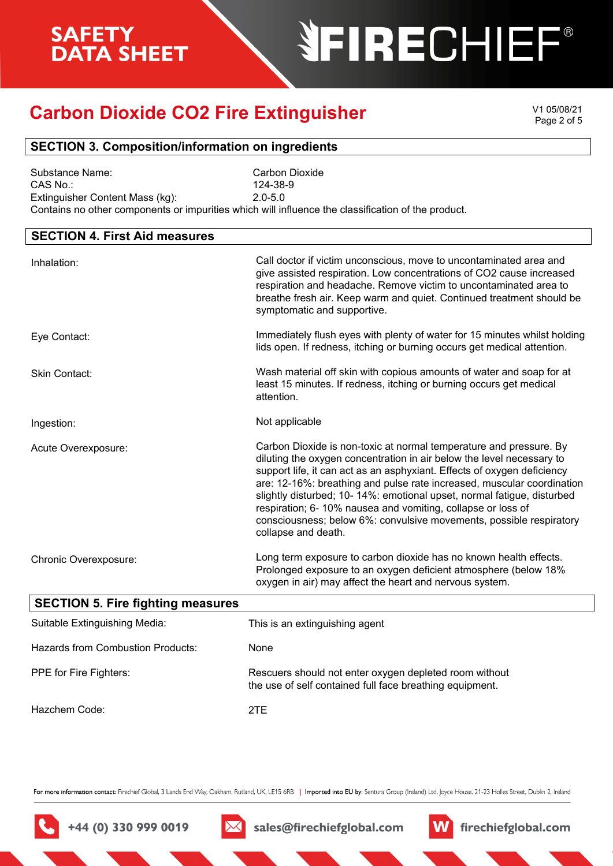# **SFIRECHIEF®**

## **Carbon Dioxide CO2 Fire Extinguisher** Page 2 of 5 Page 2 of 5

V1 05/08/21

### **SECTION 3. Composition/information on ingredients**

Substance Name: Carbon Dioxide CAS No.: 124-38-9 Extinguisher Content Mass (kg): 2.0-5.0 Contains no other components or impurities which will influence the classification of the product.

#### **SECTION 4. First Aid measures**

| Inhalation:           | Call doctor if victim unconscious, move to uncontaminated area and<br>give assisted respiration. Low concentrations of CO2 cause increased<br>respiration and headache. Remove victim to uncontaminated area to<br>breathe fresh air. Keep warm and quiet. Continued treatment should be<br>symptomatic and supportive.                                                                                                                                                                                                                  |
|-----------------------|------------------------------------------------------------------------------------------------------------------------------------------------------------------------------------------------------------------------------------------------------------------------------------------------------------------------------------------------------------------------------------------------------------------------------------------------------------------------------------------------------------------------------------------|
| Eye Contact:          | Immediately flush eyes with plenty of water for 15 minutes whilst holding<br>lids open. If redness, itching or burning occurs get medical attention.                                                                                                                                                                                                                                                                                                                                                                                     |
| Skin Contact:         | Wash material off skin with copious amounts of water and soap for at<br>least 15 minutes. If redness, itching or burning occurs get medical<br>attention.                                                                                                                                                                                                                                                                                                                                                                                |
| Ingestion:            | Not applicable                                                                                                                                                                                                                                                                                                                                                                                                                                                                                                                           |
| Acute Overexposure:   | Carbon Dioxide is non-toxic at normal temperature and pressure. By<br>diluting the oxygen concentration in air below the level necessary to<br>support life, it can act as an asphyxiant. Effects of oxygen deficiency<br>are: 12-16%: breathing and pulse rate increased, muscular coordination<br>slightly disturbed; 10- 14%: emotional upset, normal fatigue, disturbed<br>respiration; 6-10% nausea and vomiting, collapse or loss of<br>consciousness; below 6%: convulsive movements, possible respiratory<br>collapse and death. |
| Chronic Overexposure: | Long term exposure to carbon dioxide has no known health effects.<br>Prolonged exposure to an oxygen deficient atmosphere (below 18%<br>oxygen in air) may affect the heart and nervous system.                                                                                                                                                                                                                                                                                                                                          |

#### **SECTION 5. Fire fighting measures**  Suitable Extinguishing Media: Hazards from Combustion Products: PPE for Fire Fighters: Hazchem Code: This is an extinguishing agent None Rescuers should not enter oxygen depleted room without the use of self contained full face breathing equipment. 2TE

For more information contact: Firechief Global, 3 Lands End Way, Oakham, Rutland, UK, LE15 6RB | Imported into EU by: Sentura Group (Ireland) Ltd, Joyce House, 21-23 Holles Street, Dublin 2, Ireland

+44 (0) 330 999 0019

sales@firechiefglobal.com

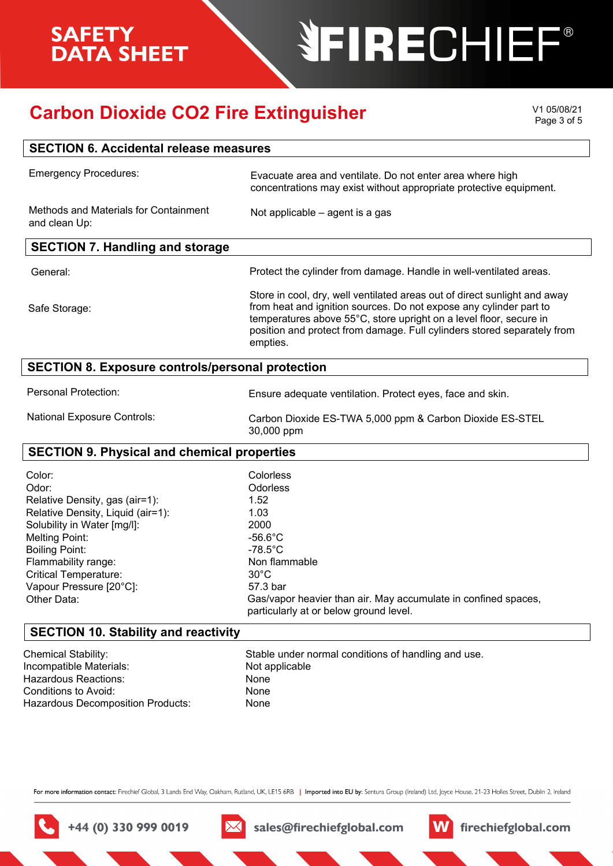# **SFIRECHIEF®**

## **Carbon Dioxide CO2 Fire Extinguisher** Page 3 of 5

V1 05/08/21

| <b>SECTION 6. Accidental release measures</b>           |                                                                                                                                                                                                                                                                                                              |  |
|---------------------------------------------------------|--------------------------------------------------------------------------------------------------------------------------------------------------------------------------------------------------------------------------------------------------------------------------------------------------------------|--|
| <b>Emergency Procedures:</b>                            | Evacuate area and ventilate. Do not enter area where high<br>concentrations may exist without appropriate protective equipment.                                                                                                                                                                              |  |
| Methods and Materials for Containment<br>and clean Up:  | Not applicable – agent is a gas                                                                                                                                                                                                                                                                              |  |
| <b>SECTION 7. Handling and storage</b>                  |                                                                                                                                                                                                                                                                                                              |  |
| General:                                                | Protect the cylinder from damage. Handle in well-ventilated areas.                                                                                                                                                                                                                                           |  |
| Safe Storage:                                           | Store in cool, dry, well ventilated areas out of direct sunlight and away<br>from heat and ignition sources. Do not expose any cylinder part to<br>temperatures above 55°C, store upright on a level floor, secure in<br>position and protect from damage. Full cylinders stored separately from<br>empties. |  |
| <b>SECTION 8. Exposure controls/personal protection</b> |                                                                                                                                                                                                                                                                                                              |  |

Personal Protection:

Ensure adequate ventilation. Protect eyes, face and skin.

National Exposure Controls:

Carbon Dioxide ES-TWA 5,000 ppm & Carbon Dioxide ES-STEL

30,000 ppm

#### **SECTION 9. Physical and chemical properties**

| Color:                            | Colorless                                                                                                |
|-----------------------------------|----------------------------------------------------------------------------------------------------------|
| Odor:                             | <b>Odorless</b>                                                                                          |
| Relative Density, gas (air=1):    | 1.52                                                                                                     |
| Relative Density, Liquid (air=1): | 1.03                                                                                                     |
| Solubility in Water [mg/l]:       | 2000                                                                                                     |
| Melting Point:                    | $-56.6^{\circ}$ C                                                                                        |
| <b>Boiling Point:</b>             | -78.5°C                                                                                                  |
| Flammability range:               | Non flammable                                                                                            |
| <b>Critical Temperature:</b>      | $30^{\circ}$ C                                                                                           |
| Vapour Pressure [20°C]:           | 57.3 bar                                                                                                 |
| Other Data:                       | Gas/vapor heavier than air. May accumulate in confined spaces,<br>particularly at or below ground level. |

#### **SECTION 10. Stability and reactivity**

+44 (0) 330 999 0019

Incompatible Materials: Not applicable Hazardous Reactions: None Conditions to Avoid: None Hazardous Decomposition Products: None

Chemical Stability: Stable under normal conditions of handling and use.

firechiefglobal.com

For more information contact: Firechief Global, 3 Lands End Way, Oakham, Rutland, UK, LE15 6RB | Imported into EU by: Sentura Group (Ireland) Ltd, Joyce House, 21-23 Holles Street, Dublin 2, Ireland

sales@firechiefglobal.com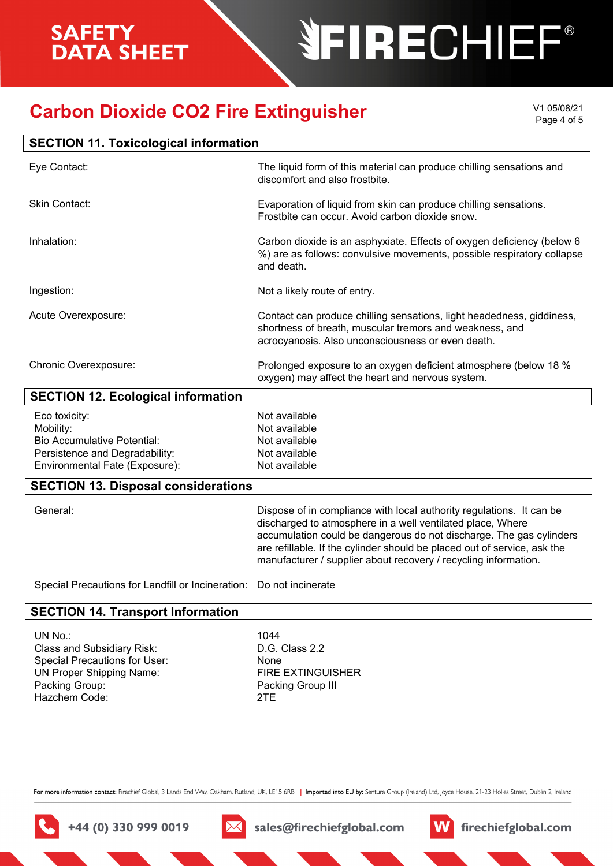# **SEIRECHIEF®**

## **Carbon Dioxide CO2 Fire Extinguisher** Page 4 of 5

V1 05/08/21

| <b>SECTION 11. Toxicological information</b>                                                                                         |                                                                                                                                                                                                                                                                                                                                                          |
|--------------------------------------------------------------------------------------------------------------------------------------|----------------------------------------------------------------------------------------------------------------------------------------------------------------------------------------------------------------------------------------------------------------------------------------------------------------------------------------------------------|
| Eye Contact:                                                                                                                         | The liquid form of this material can produce chilling sensations and<br>discomfort and also frostbite.                                                                                                                                                                                                                                                   |
| <b>Skin Contact:</b>                                                                                                                 | Evaporation of liquid from skin can produce chilling sensations.<br>Frostbite can occur. Avoid carbon dioxide snow.                                                                                                                                                                                                                                      |
| Inhalation:                                                                                                                          | Carbon dioxide is an asphyxiate. Effects of oxygen deficiency (below 6<br>%) are as follows: convulsive movements, possible respiratory collapse<br>and death.                                                                                                                                                                                           |
| Ingestion:                                                                                                                           | Not a likely route of entry.                                                                                                                                                                                                                                                                                                                             |
| Acute Overexposure:                                                                                                                  | Contact can produce chilling sensations, light headedness, giddiness,<br>shortness of breath, muscular tremors and weakness, and<br>acrocyanosis. Also unconsciousness or even death.                                                                                                                                                                    |
| Chronic Overexposure:                                                                                                                | Prolonged exposure to an oxygen deficient atmosphere (below 18 %<br>oxygen) may affect the heart and nervous system.                                                                                                                                                                                                                                     |
| <b>SECTION 12. Ecological information</b>                                                                                            |                                                                                                                                                                                                                                                                                                                                                          |
| Eco toxicity:<br>Mobility:<br><b>Bio Accumulative Potential:</b><br>Persistence and Degradability:<br>Environmental Fate (Exposure): | Not available<br>Not available<br>Not available<br>Not available<br>Not available                                                                                                                                                                                                                                                                        |
| <b>SECTION 13. Disposal considerations</b>                                                                                           |                                                                                                                                                                                                                                                                                                                                                          |
| General:                                                                                                                             | Dispose of in compliance with local authority regulations. It can be<br>discharged to atmosphere in a well ventilated place, Where<br>accumulation could be dangerous do not discharge. The gas cylinders<br>are refillable. If the cylinder should be placed out of service, ask the<br>manufacturer / supplier about recovery / recycling information. |
| Special Precautions for Landfill or Incineration:                                                                                    | Do not incinerate                                                                                                                                                                                                                                                                                                                                        |

#### **SECTION 14. Transport Information**

UN No.: 1044 Class and Subsidiary Risk: D.G. Class 2.2 Special Precautions for User: None UN Proper Shipping Name: FIRE EXTINGUISHER<br>Packing Group: Facking Group III Hazchem Code: 2TE

Packing Group III

For more information contact: Firechief Global, 3 Lands End Way, Oakham, Rutland, UK, LE15 6RB | Imported into EU by: Sentura Group (Ireland) Ltd, Joyce House, 21-23 Holles Street, Dublin 2, Ireland



sales@firechiefglobal.com